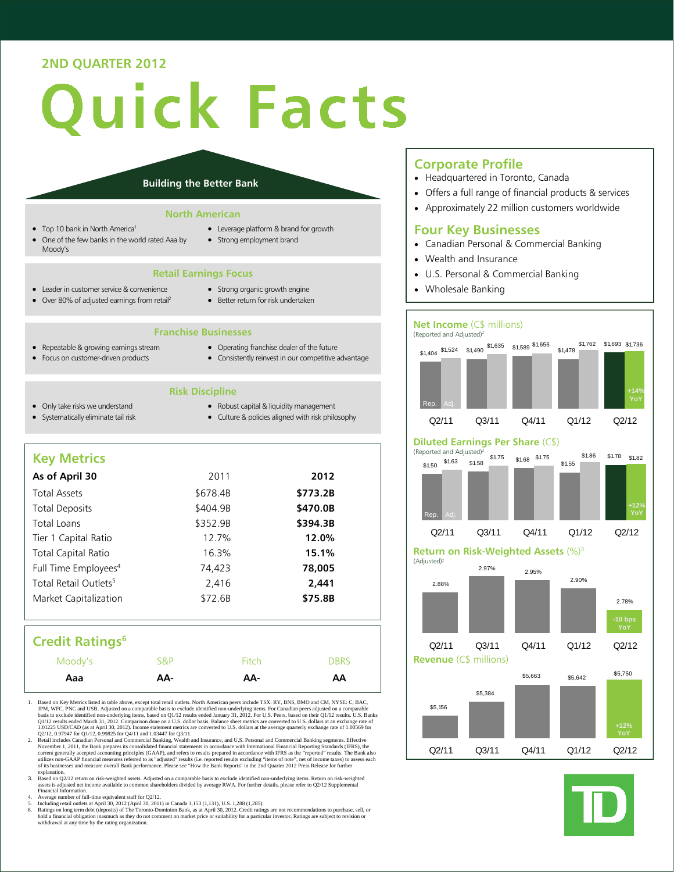# **2ND QUARTER 2012**

# uick Facts

#### **Building the Better Bank**

#### **North American**

- Top 10 bank in North America<sup>1</sup>
- One of the few banks in the world rated Aaa by Moody's
- Leverage platform & brand for growth
- Strong employment brand

#### **Retail Earnings Focus**

- Leader in customer service & convenience • Over 80% of adjusted earnings from retail<sup>2</sup>
- Strong organic growth engine
- Better return for risk undertaken

# **Franchise Businesses**

- Repeatable & growing earnings stream
- 
- Focus on customer-driven products
- Operating franchise dealer of the future Consistently reinvest in our competitive advantage
- **Risk Discipline** 
	- Robust capital & liquidity management
- Only take risks we understand Systematically eliminate tail risk
- Culture & policies aligned with risk philosophy

# **Key Metrics**

| As of April 30                    | 2011     | 2012     |
|-----------------------------------|----------|----------|
| <b>Total Assets</b>               | \$678.4B | \$773.2B |
| <b>Total Deposits</b>             | \$404.9B | \$470.0B |
| Total Loans                       | \$352.9B | \$394.3B |
| Tier 1 Capital Ratio              | 12.7%    | 12.0%    |
| <b>Total Capital Ratio</b>        | 16.3%    | 15.1%    |
| Full Time Employees <sup>4</sup>  | 74,423   | 78,005   |
| Total Retail Outlets <sup>5</sup> | 2,416    | 2.441    |
| Market Capitalization             | \$72.6B  | \$75.8B  |
|                                   |          |          |

# **Credit Ratings<sup>6</sup>**

| Moody's | S&P | Fitch | <b>DBRS</b> |
|---------|-----|-------|-------------|
| Aaa     | AA- | AA-   | AA          |

- 1. Based on Key Metrics listed in table above, except total retail outlets. North American peers include TSX: RY, BNS, BMO and CM, NYSE: C, BAC, 1PM, WFC, PNC and USB. Adjusted on a comparable basis to exclude identified non-underlying items. For Canadian peers adjusted on a comparable basis to exclude identified non-underlying items, basis to exclude identified no
- 2. Retail includes Canadian Personal and Commercial Banking, Wealth and Insurance, and U.S. Personal and Commercial Banking segments. Effective<br>November 1, 2011, the Bank prepares its consolidated financial statements in a utilizes non-GAAP financial measures referred to as "adjusted" results (i.e. reported results excluding "items of note", net of income taxes) to assess each<br>of its businesses and measure overall Bank performance. Please se
- explanation.<br>3. Based on Q2/12 return on risk-weighted assets. Adjusted on a comparable basis to exclude identified non-underlying items. Return on risk-weighted<br>assets is adjusted net income available to common shareholde
- 4. Average number of full-time equivalent staff for Q2/12.
- 
- 5. Including retail outlets at April 30, 2012 (April 30, 2011) in Canada 1,153 (1,131), U.S. 1,288 (1,285).<br>
6. Ratings on long term debt (deposits) of The Toronto-Dominion Bank, as at April 30, 2012. Credit ratings are no

#### **Corporate Profile**

- Headquartered in Toronto, Canada
- Offers a full range of financial products & services
- Approximately 22 million customers worldwide

## **Four Key Businesses**

- Canadian Personal & Commercial Banking
- Wealth and Insurance
- U.S. Personal & Commercial Banking
- Wholesale Banking

#### **Net Income** (C\$ millions) (Reported and Adjusted)2



## **Diluted Earnings Per Share** (C\$)



#### **Return on Risk-Weighted Assets** (%)3